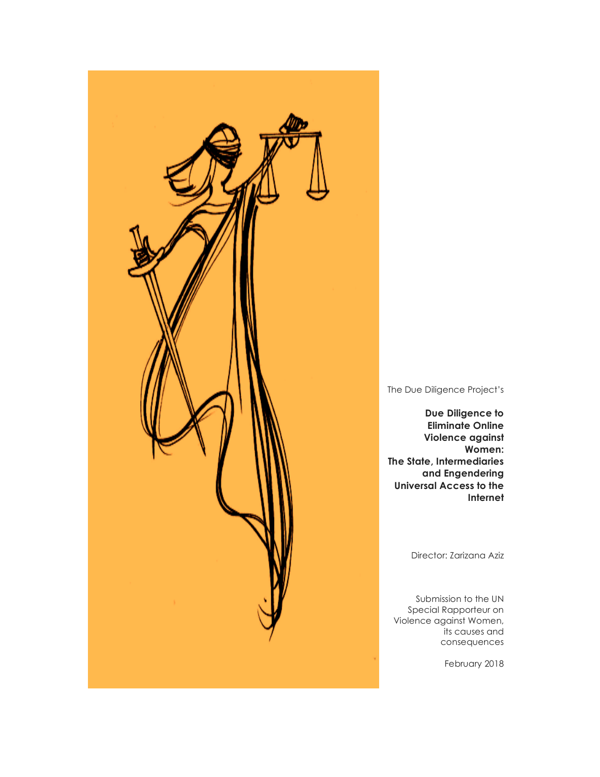

The Due Diligence Project's

**Due Diligence to Eliminate Online Violence against Women: The State, Intermediaries and Engendering Universal Access to the Internet**

Director: Zarizana Aziz

Submission to the UN Special Rapporteur on Violence against Women, its causes and consequences

February 2018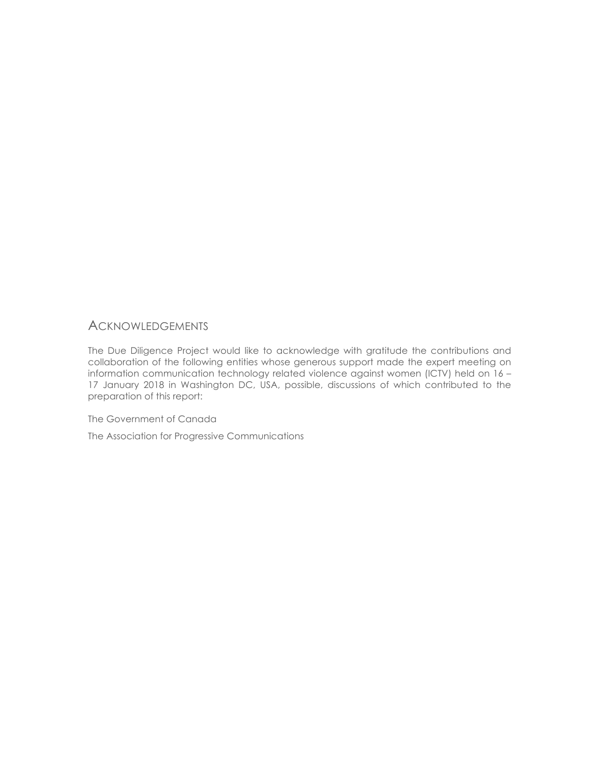# **ACKNOWLEDGEMENTS**

The Due Diligence Project would like to acknowledge with gratitude the contributions and collaboration of the following entities whose generous support made the expert meeting on information communication technology related violence against women (ICTV) held on 16 – 17 January 2018 in Washington DC, USA, possible, discussions of which contributed to the preparation of this report:

The Government of Canada

The Association for Progressive Communications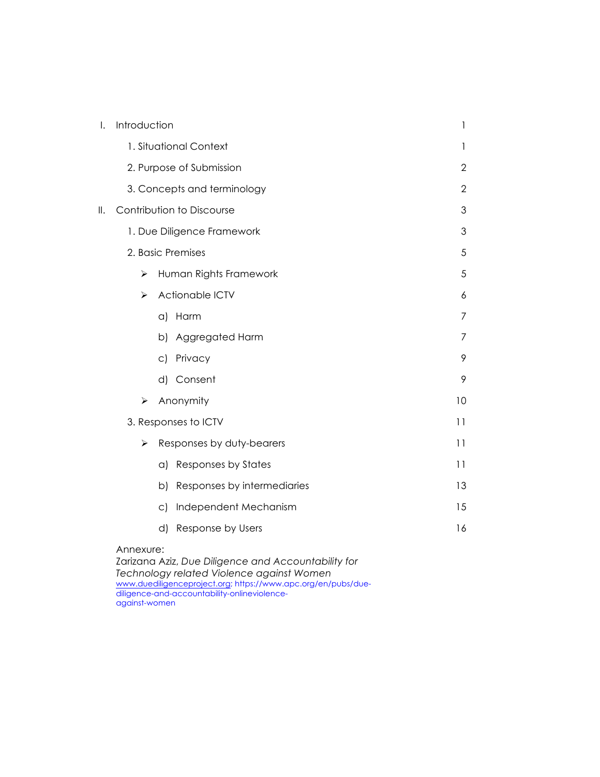| I.             | Introduction                |                                        | 1              |
|----------------|-----------------------------|----------------------------------------|----------------|
|                |                             | 1. Situational Context                 | 1              |
|                | 2. Purpose of Submission    |                                        | $\overline{2}$ |
|                | 3. Concepts and terminology |                                        | $\overline{2}$ |
| $\mathbb{I}$ . | Contribution to Discourse   |                                        | 3              |
|                | 1. Due Diligence Framework  |                                        | 3              |
|                | 2. Basic Premises           |                                        | 5              |
|                | ➤                           | Human Rights Framework                 | 5              |
|                | ➤                           | Actionable ICTV                        | 6              |
|                |                             | Harm<br>$\alpha$                       | 7              |
|                |                             | b) Aggregated Harm                     | 7              |
|                |                             | Privacy<br>$\mathsf{C}$                | 9              |
|                |                             | d) Consent                             | 9              |
|                | ➤                           | Anonymity                              | 10             |
|                | 3. Responses to ICTV        |                                        | 11             |
|                | ⋗                           | Responses by duty-bearers              | 11             |
|                |                             | <b>Responses by States</b><br>$\alpha$ | 11             |
|                |                             | Responses by intermediaries<br>b)      | 13             |
|                |                             | Independent Mechanism<br>$\circ$ )     | 15             |
|                |                             | d)<br>Response by Users                | 16             |
|                | Annexure:                   |                                        |                |

Zarizana Aziz, *Due Diligence and Accountability for Technology related Violence against Women* www.duediligenceproject.org; https://www.apc.org/en/pubs/duediligence-and-accountability-onlineviolenceagainst-women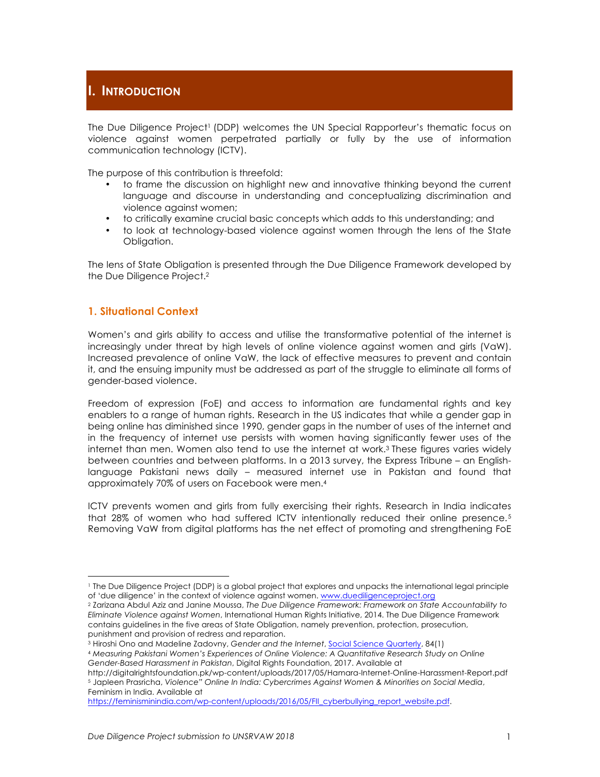The Due Diligence Project<sup>1</sup> (DDP) welcomes the UN Special Rapporteur's thematic focus on violence against women perpetrated partially or fully by the use of information communication technology (ICTV).

The purpose of this contribution is threefold:

- to frame the discussion on highlight new and innovative thinking beyond the current language and discourse in understanding and conceptualizing discrimination and violence against women;
- to critically examine crucial basic concepts which adds to this understanding; and
- to look at technology-based violence against women through the lens of the State Obligation.

The lens of State Obligation is presented through the Due Diligence Framework developed by the Due Diligence Project.2

## **1. Situational Context**

Women's and girls ability to access and utilise the transformative potential of the internet is increasingly under threat by high levels of online violence against women and girls (VaW). Increased prevalence of online VaW, the lack of effective measures to prevent and contain it, and the ensuing impunity must be addressed as part of the struggle to eliminate all forms of gender-based violence.

Freedom of expression (FoE) and access to information are fundamental rights and key enablers to a range of human rights. Research in the US indicates that while a gender gap in being online has diminished since 1990, gender gaps in the number of uses of the internet and in the frequency of internet use persists with women having significantly fewer uses of the internet than men. Women also tend to use the internet at work.3 These figures varies widely between countries and between platforms. In a 2013 survey, the Express Tribune – an Englishlanguage Pakistani news daily – measured internet use in Pakistan and found that approximately 70% of users on Facebook were men.4

ICTV prevents women and girls from fully exercising their rights. Research in India indicates that 28% of women who had suffered ICTV intentionally reduced their online presence.<sup>5</sup> Removing VaW from digital platforms has the net effect of promoting and strengthening FoE

<u> 1989 - Johann Stein, marwolaethau a bh</u>

<sup>1</sup> The Due Diligence Project (DDP) is a global project that explores and unpacks the international legal principle of 'due diligence' in the context of violence against women. www.duediligenceproject.org

<sup>2</sup> Zarizana Abdul Aziz and Janine Moussa, *The Due Diligence Framework: Framework on State Accountability to Eliminate Violence against Women*, International Human Rights Initiative, 2014. The Due Diligence Framework contains guidelines in the five areas of State Obligation, namely prevention, protection, prosecution, punishment and provision of redress and reparation.

<sup>3</sup> Hiroshi Ono and Madeline Zadovny, *Gender and the Internet*, Social Science Quarterly, 84(1)

<sup>4</sup> *Measuring Pakistani Women's Experiences of Online Violence: A Quantitative Research Study on Online Gender-Based Harassment in Pakistan*, Digital Rights Foundation, 2017. Available at

http://digitalrightsfoundation.pk/wp-content/uploads/2017/05/Hamara-Internet-Online-Harassment-Report.pdf <sup>5</sup> Japleen Prasricha, *Violence" Online In India: Cybercrimes Against Women & Minorities on Social Media*, Feminism in India. Available at

https://feminisminindia.com/wp-content/uploads/2016/05/FII\_cyberbullying\_report\_website.pdf.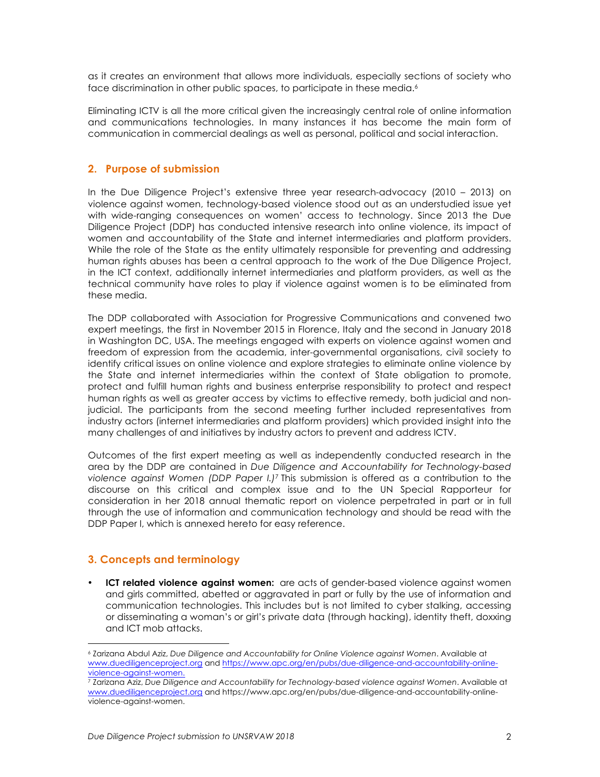as it creates an environment that allows more individuals, especially sections of society who face discrimination in other public spaces, to participate in these media.<sup>6</sup>

Eliminating ICTV is all the more critical given the increasingly central role of online information and communications technologies. In many instances it has become the main form of communication in commercial dealings as well as personal, political and social interaction.

## **2. Purpose of submission**

In the Due Diligence Project's extensive three year research-advocacy (2010 – 2013) on violence against women, technology-based violence stood out as an understudied issue yet with wide-ranging consequences on women' access to technology. Since 2013 the Due Diligence Project (DDP) has conducted intensive research into online violence, its impact of women and accountability of the State and internet intermediaries and platform providers. While the role of the State as the entity ultimately responsible for preventing and addressing human rights abuses has been a central approach to the work of the Due Diligence Project, in the ICT context, additionally internet intermediaries and platform providers, as well as the technical community have roles to play if violence against women is to be eliminated from these media.

The DDP collaborated with Association for Progressive Communications and convened two expert meetings, the first in November 2015 in Florence, Italy and the second in January 2018 in Washington DC, USA. The meetings engaged with experts on violence against women and freedom of expression from the academia, inter-governmental organisations, civil society to identify critical issues on online violence and explore strategies to eliminate online violence by the State and internet intermediaries within the context of State obligation to promote, protect and fulfill human rights and business enterprise responsibility to protect and respect human rights as well as greater access by victims to effective remedy, both judicial and nonjudicial. The participants from the second meeting further included representatives from industry actors (internet intermediaries and platform providers) which provided insight into the many challenges of and initiatives by industry actors to prevent and address ICTV.

Outcomes of the first expert meeting as well as independently conducted research in the area by the DDP are contained in *Due Diligence and Accountability for Technology-based violence against Women (DDP Paper I.)*<sup>7</sup> This submission is offered as a contribution to the discourse on this critical and complex issue and to the UN Special Rapporteur for consideration in her 2018 annual thematic report on violence perpetrated in part or in full through the use of information and communication technology and should be read with the DDP Paper I, which is annexed hereto for easy reference.

## **3. Concepts and terminology**

<u> 1989 - Johann Stein, marwolaethau a bh</u>

• **ICT related violence against women:** are acts of gender-based violence against women and girls committed, abetted or aggravated in part or fully by the use of information and communication technologies. This includes but is not limited to cyber stalking, accessing or disseminating a woman's or girl's private data (through hacking), identity theft, doxxing and ICT mob attacks.

<sup>6</sup> Zarizana Abdul Aziz, *Due Diligence and Accountability for Online Violence against Women*. Available at www.duediligenceproject.org and https://www.apc.org/en/pubs/due-diligence-and-accountability-onlineviolence-against-women.<br><sup>7</sup> Zarizana Aziz, Due Diligence and Accountability for Technology-based violence against Women. Available at

www.duediligenceproject.org and https://www.apc.org/en/pubs/due-diligence-and-accountability-onlineviolence-against-women.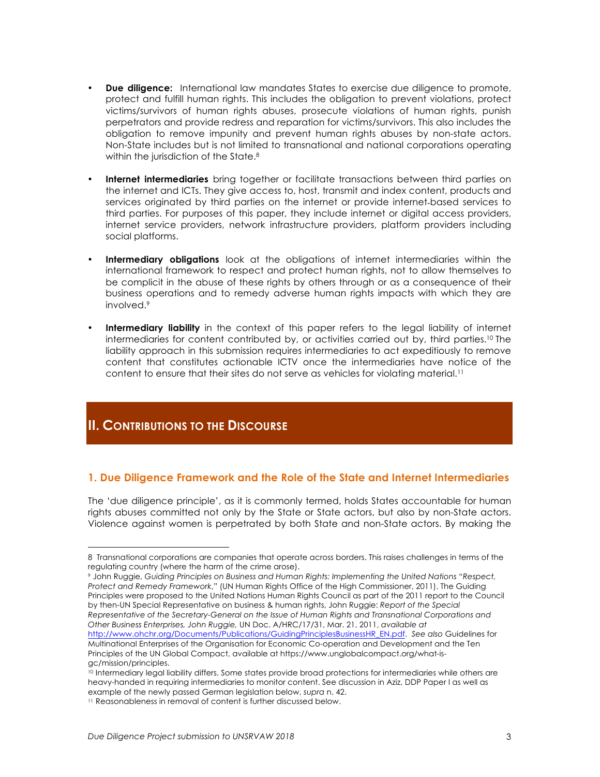- **Due diligence:** International law mandates States to exercise due diligence to promote, protect and fulfill human rights. This includes the obligation to prevent violations, protect victims/survivors of human rights abuses, prosecute violations of human rights, punish perpetrators and provide redress and reparation for victims/survivors. This also includes the obligation to remove impunity and prevent human rights abuses by non-state actors. Non-State includes but is not limited to transnational and national corporations operating within the jurisdiction of the State.<sup>8</sup>
- **Internet intermediaries** bring together or facilitate transactions between third parties on the internet and ICTs. They give access to, host, transmit and index content, products and services originated by third parties on the internet or provide internet-based services to third parties. For purposes of this paper, they include internet or digital access providers, internet service providers, network infrastructure providers, platform providers including social platforms.
- **Intermediary obligations** look at the obligations of internet intermediaries within the international framework to respect and protect human rights, not to allow themselves to be complicit in the abuse of these rights by others through or as a consequence of their business operations and to remedy adverse human rights impacts with which they are involved.9
- **Intermediary liability** in the context of this paper refers to the legal liability of internet intermediaries for content contributed by, or activities carried out by, third parties.10 The liability approach in this submission requires intermediaries to act expeditiously to remove content that constitutes actionable ICTV once the intermediaries have notice of the content to ensure that their sites do not serve as vehicles for violating material.11

# **II. CONTRIBUTIONS TO THE DISCOURSE**

 

## **1. Due Diligence Framework and the Role of the State and Internet Intermediaries**

The 'due diligence principle', as it is commonly termed, holds States accountable for human rights abuses committed not only by the State or State actors, but also by non-State actors. Violence against women is perpetrated by both State and non-State actors. By making the

<sup>8</sup> Transnational corporations are companies that operate across borders. This raises challenges in terms of the regulating country (where the harm of the crime arose).

<sup>9</sup> John Ruggie, *Guiding Principles on Business and Human Rights: Implementing the United Nations "Respect, Protect and Remedy Framework*," (UN Human Rights Office of the High Commissioner, 2011). The Guiding Principles were proposed to the United Nations Human Rights Council as part of the 2011 report to the Council by then-UN Special Representative on business & human rights, John Ruggie: *Report of the Special Representative of the Secretary-General on the Issue of Human Rights and Transnational Corporations and Other Business Enterprises, John Ruggie,* UN Doc. A/HRC/17/31, Mar. 21, 2011, *available at* http://www.ohchr.org/Documents/Publications/GuidingPrinciplesBusinessHR\_EN.pdf. *See also* Guidelines for Multinational Enterprises of the Organisation for Economic Co-operation and Development and the Ten Principles of the UN Global Compact, available at https://www.unglobalcompact.org/what-isgc/mission/principles.

<sup>10</sup> Intermediary legal liability differs. Some states provide broad protections for intermediaries while others are heavy-handed in requiring intermediaries to monitor content. See discussion in Aziz, DDP Paper I as well as example of the newly passed German legislation below, *supra* n. 42.

<sup>11</sup> Reasonableness in removal of content is further discussed below.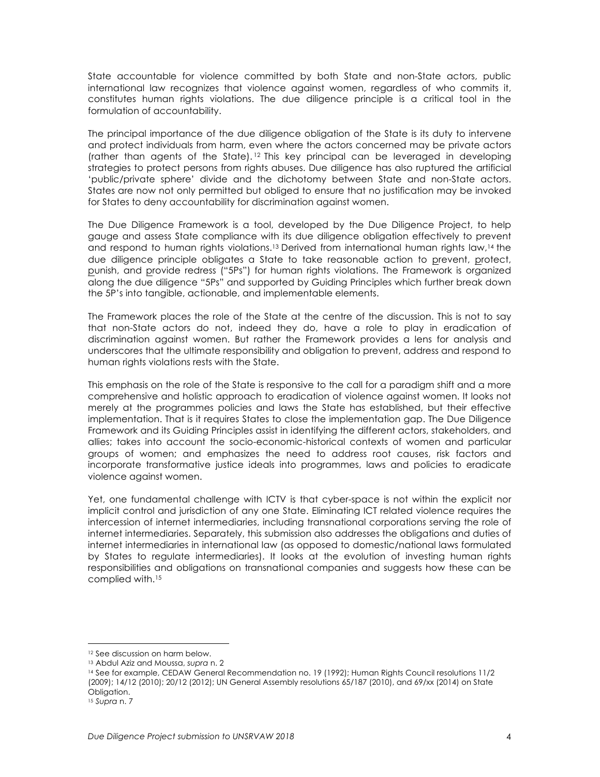State accountable for violence committed by both State and non-State actors, public international law recognizes that violence against women, regardless of who commits it, constitutes human rights violations. The due diligence principle is a critical tool in the formulation of accountability.

The principal importance of the due diligence obligation of the State is its duty to intervene and protect individuals from harm, even where the actors concerned may be private actors (rather than agents of the State). <sup>12</sup> This key principal can be leveraged in developing strategies to protect persons from rights abuses. Due diligence has also ruptured the artificial 'public/private sphere' divide and the dichotomy between State and non-State actors. States are now not only permitted but obliged to ensure that no justification may be invoked for States to deny accountability for discrimination against women.

The Due Diligence Framework is a tool, developed by the Due Diligence Project, to help gauge and assess State compliance with its due diligence obligation effectively to prevent and respond to human rights violations.<sup>13</sup> Derived from international human rights law,<sup>14</sup> the due diligence principle obligates a State to take reasonable action to prevent, protect, punish, and provide redress ("5Ps") for human rights violations. The Framework is organized along the due diligence "5Ps" and supported by Guiding Principles which further break down the 5P's into tangible, actionable, and implementable elements.

The Framework places the role of the State at the centre of the discussion. This is not to say that non-State actors do not, indeed they do, have a role to play in eradication of discrimination against women. But rather the Framework provides a lens for analysis and underscores that the ultimate responsibility and obligation to prevent, address and respond to human rights violations rests with the State.

This emphasis on the role of the State is responsive to the call for a paradigm shift and a more comprehensive and holistic approach to eradication of violence against women. It looks not merely at the programmes policies and laws the State has established, but their effective implementation. That is it requires States to close the implementation gap. The Due Diligence Framework and its Guiding Principles assist in identifying the different actors, stakeholders, and allies; takes into account the socio-economic-historical contexts of women and particular groups of women; and emphasizes the need to address root causes, risk factors and incorporate transformative justice ideals into programmes, laws and policies to eradicate violence against women.

Yet, one fundamental challenge with ICTV is that cyber-space is not within the explicit nor implicit control and jurisdiction of any one State. Eliminating ICT related violence requires the intercession of internet intermediaries, including transnational corporations serving the role of internet intermediaries. Separately, this submission also addresses the obligations and duties of internet intermediaries in international law (as opposed to domestic/national laws formulated by States to regulate intermediaries). It looks at the evolution of investing human rights responsibilities and obligations on transnational companies and suggests how these can be complied with.15

<sup>&</sup>lt;u> 1989 - Johann Stein, marwolaethau a bh</u> <sup>12</sup> See discussion on harm below.

<sup>13</sup> Abdul Aziz and Moussa, *supra* n. 2

<sup>14</sup> See for example, CEDAW General Recommendation no. 19 (1992); Human Rights Council resolutions 11/2 (2009); 14/12 (2010); 20/12 (2012); UN General Assembly resolutions 65/187 (2010), and 69/xx (2014) on State Obligation.

<sup>15</sup> *Supra* n. 7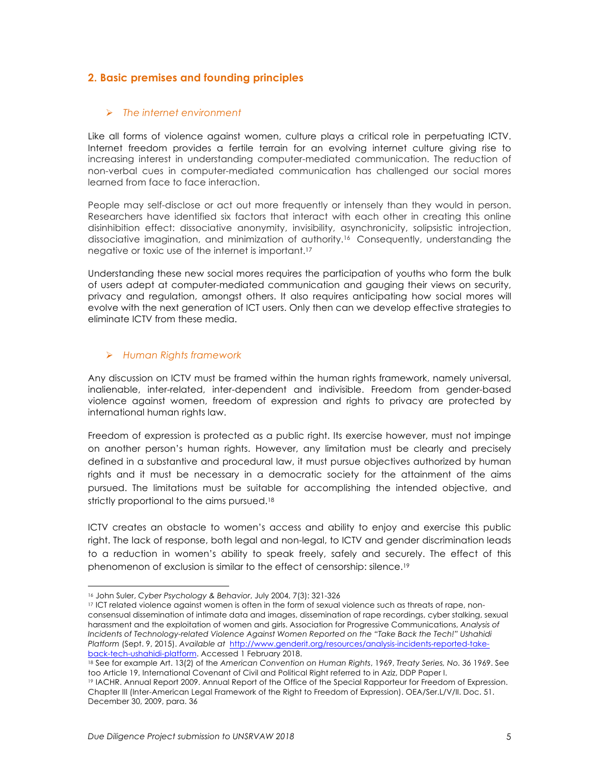# **2. Basic premises and founding principles**

### Ø *The internet environment*

Like all forms of violence against women, culture plays a critical role in perpetuating ICTV. Internet freedom provides a fertile terrain for an evolving internet culture giving rise to increasing interest in understanding computer-mediated communication. The reduction of non-verbal cues in computer-mediated communication has challenged our social mores learned from face to face interaction.

People may self-disclose or act out more frequently or intensely than they would in person. Researchers have identified six factors that interact with each other in creating this online disinhibition effect: dissociative anonymity, invisibility, asynchronicity, solipsistic introjection, dissociative imagination, and minimization of authority.16 Consequently, understanding the negative or toxic use of the internet is important.17

Understanding these new social mores requires the participation of youths who form the bulk of users adept at computer-mediated communication and gauging their views on security, privacy and regulation, amongst others. It also requires anticipating how social mores will evolve with the next generation of ICT users. Only then can we develop effective strategies to eliminate ICTV from these media.

## Ø *Human Rights framework*

Any discussion on ICTV must be framed within the human rights framework, namely universal, inalienable, inter-related, inter-dependent and indivisible. Freedom from gender-based violence against women, freedom of expression and rights to privacy are protected by international human rights law.

Freedom of expression is protected as a public right. Its exercise however, must not impinge on another person's human rights. However, any limitation must be clearly and precisely defined in a substantive and procedural law, it must pursue objectives authorized by human rights and it must be necessary in a democratic society for the attainment of the aims pursued. The limitations must be suitable for accomplishing the intended objective, and strictly proportional to the aims pursued.<sup>18</sup>

ICTV creates an obstacle to women's access and ability to enjoy and exercise this public right. The lack of response, both legal and non-legal, to ICTV and gender discrimination leads to a reduction in women's ability to speak freely, safely and securely. The effect of this phenomenon of exclusion is similar to the effect of censorship: silence.<sup>19</sup>

<sup>16</sup> John Suler, *Cyber Psychology & Behavior*, July 2004, 7(3): 321-326

<sup>17</sup> ICT related violence against women is often in the form of sexual violence such as threats of rape, nonconsensual dissemination of intimate data and images, dissemination of rape recordings, cyber stalking, sexual harassment and the exploitation of women and girls. Association for Progressive Communications, *Analysis of Incidents of Technology-related Violence Against Women Reported on the "Take Back the Tech!" Ushahidi Platform* (Sept. 9, 2015). *Available at* http://www.genderit.org/resources/analysis-incidents-reported-takeback-tech-ushahidi-platform. Accessed 1 February 2018.

<sup>18</sup> See for example Art. 13(2) of the *American Convention on Human Rights*, 1969, *Treaty Series, No. 36* 1969. See too Article 19, International Covenant of Civil and Political Right referred to in Aziz, DDP Paper I.

<sup>19</sup> IACHR. Annual Report 2009. Annual Report of the Office of the Special Rapporteur for Freedom of Expression. Chapter III (Inter-American Legal Framework of the Right to Freedom of Expression). OEA/Ser.L/V/II. Doc. 51. December 30, 2009, para. 36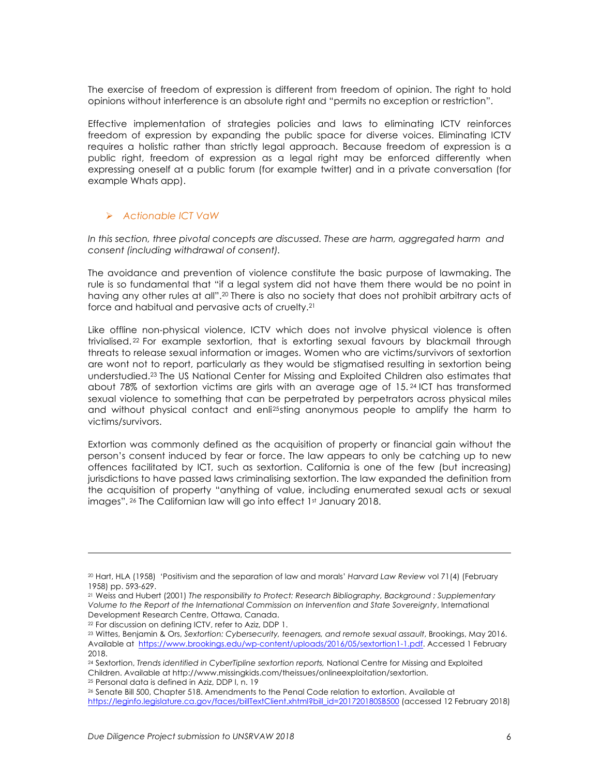The exercise of freedom of expression is different from freedom of opinion. The right to hold opinions without interference is an absolute right and "permits no exception or restriction".

Effective implementation of strategies policies and laws to eliminating ICTV reinforces freedom of expression by expanding the public space for diverse voices. Eliminating ICTV requires a holistic rather than strictly legal approach. Because freedom of expression is a public right, freedom of expression as a legal right may be enforced differently when expressing oneself at a public forum (for example twitter) and in a private conversation (for example Whats app).

#### Ø *Actionable ICT VaW*

*In this section, three pivotal concepts are discussed. These are harm, aggregated harm and consent (including withdrawal of consent).* 

The avoidance and prevention of violence constitute the basic purpose of lawmaking. The rule is so fundamental that "if a legal system did not have them there would be no point in having any other rules at all".<sup>20</sup> There is also no society that does not prohibit arbitrary acts of force and habitual and pervasive acts of cruelty.21

Like offline non-physical violence, ICTV which does not involve physical violence is often trivialised. <sup>22</sup> For example sextortion, that is extorting sexual favours by blackmail through threats to release sexual information or images. Women who are victims/survivors of sextortion are wont not to report, particularly as they would be stigmatised resulting in sextortion being understudied.23 The US National Center for Missing and Exploited Children also estimates that about 78% of sextortion victims are girls with an average age of 15. <sup>24</sup> ICT has transformed sexual violence to something that can be perpetrated by perpetrators across physical miles and without physical contact and enli25sting anonymous people to amplify the harm to victims/survivors.

Extortion was commonly defined as the acquisition of property or financial gain without the person's consent induced by fear or force. The law appears to only be catching up to new offences facilitated by ICT, such as sextortion. California is one of the few (but increasing) jurisdictions to have passed laws criminalising sextortion. The law expanded the definition from the acquisition of property "anything of value, including enumerated sexual acts or sexual images". <sup>26</sup> The Californian law will go into effect 1st January 2018.

<u> 1989 - Andrea Santa Alemania, amerikana amerikana amerikana amerikana amerikana amerikana amerikana amerikana</u>

<sup>20</sup> Hart, HLA (1958) 'Positivism and the separation of law and morals' *Harvard Law Review* vol 71(4) (February 1958) pp. 593-629.

<sup>21</sup> Weiss and Hubert (2001) *The responsibility to Protect: Research Bibliography, Background : Supplementary Volume to the Report of the International Commission on Intervention and State Sovereignty*, International Development Research Centre, Ottawa, Canada.

<sup>22</sup> For discussion on defining ICTV, refer to Aziz, DDP 1.

<sup>23</sup> Wittes, Benjamin & Ors, *Sextortion: Cybersecurity, teenagers, and remote sexual assault*, Brookings, May 2016. Available at https://www.brookings.edu/wp-content/uploads/2016/05/sextortion1-1.pdf. Accessed 1 February 2018.

<sup>24</sup> Sextortion, *Trends identified in CyberTipline sextortion reports,* National Centre for Missing and Exploited Children. Available at http://www.missingkids.com/theissues/onlineexploitation/sextortion. <sup>25</sup> Personal data is defined in Aziz, DDP I, n. 19

<sup>26</sup> Senate Bill 500, Chapter 518. Amendments to the Penal Code relation to extortion. Available at https://leginfo.legislature.ca.gov/faces/billTextClient.xhtml?bill\_id=201720180SB500 (accessed 12 February 2018)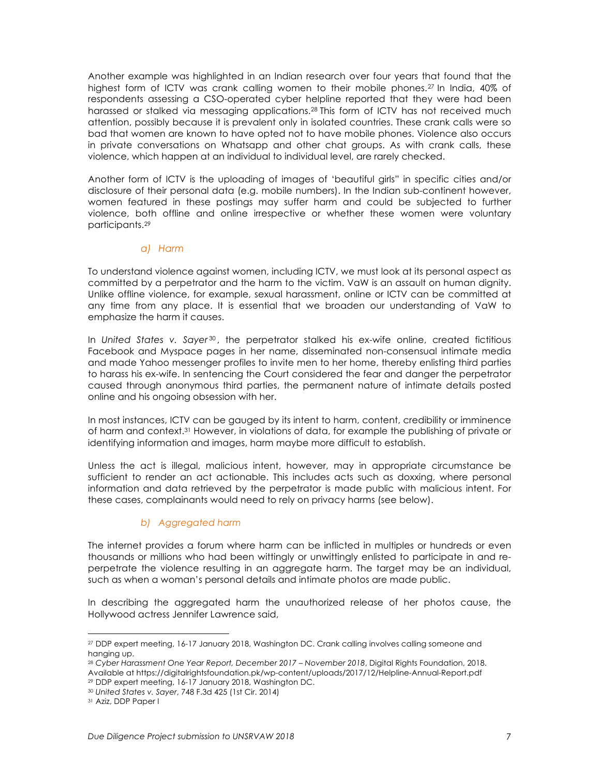Another example was highlighted in an Indian research over four years that found that the highest form of ICTV was crank calling women to their mobile phones.<sup>27</sup> In India, 40% of respondents assessing a CSO-operated cyber helpline reported that they were had been harassed or stalked via messaging applications.28 This form of ICTV has not received much attention, possibly because it is prevalent only in isolated countries. These crank calls were so bad that women are known to have opted not to have mobile phones. Violence also occurs in private conversations on Whatsapp and other chat groups. As with crank calls, these violence, which happen at an individual to individual level, are rarely checked.

Another form of ICTV is the uploading of images of 'beautiful girls" in specific cities and/or disclosure of their personal data (e.g. mobile numbers). In the Indian sub-continent however, women featured in these postings may suffer harm and could be subjected to further violence, both offline and online irrespective or whether these women were voluntary participants.29

#### *a) Harm*

To understand violence against women, including ICTV, we must look at its personal aspect as committed by a perpetrator and the harm to the victim. VaW is an assault on human dignity. Unlike offline violence, for example, sexual harassment, online or ICTV can be committed at any time from any place. It is essential that we broaden our understanding of VaW to emphasize the harm it causes.

In *United States v. Sayer<sup>30</sup>,* the perpetrator stalked his ex-wife online, created fictitious Facebook and Myspace pages in her name, disseminated non-consensual intimate media and made Yahoo messenger profiles to invite men to her home, thereby enlisting third parties to harass his ex-wife. In sentencing the Court considered the fear and danger the perpetrator caused through anonymous third parties, the permanent nature of intimate details posted online and his ongoing obsession with her.

In most instances, ICTV can be gauged by its intent to harm, content, credibility or imminence of harm and context.31 However, in violations of data, for example the publishing of private or identifying information and images, harm maybe more difficult to establish.

Unless the act is illegal, malicious intent, however, may in appropriate circumstance be sufficient to render an act actionable. This includes acts such as doxxing, where personal information and data retrieved by the perpetrator is made public with malicious intent. For these cases, complainants would need to rely on privacy harms (see below).

#### *b) Aggregated harm*

The internet provides a forum where harm can be inflicted in multiples or hundreds or even thousands or millions who had been wittingly or unwittingly enlisted to participate in and reperpetrate the violence resulting in an aggregate harm. The target may be an individual, such as when a woman's personal details and intimate photos are made public.

In describing the aggregated harm the unauthorized release of her photos cause, the Hollywood actress Jennifer Lawrence said,

<sup>28</sup> *Cyber Harassment One Year Report, December 2017 – November 2018*, Digital Rights Foundation, 2018. Available at https://digitalrightsfoundation.pk/wp-content/uploads/2017/12/Helpline-Annual-Report.pdf <sup>29</sup> DDP expert meeting, 16-17 January 2018, Washington DC.

<u> 1989 - Johann Stein, marwolaethau a bh</u>

<sup>27</sup> DDP expert meeting, 16-17 January 2018, Washington DC. Crank calling involves calling someone and hanging up.

<sup>30</sup> *United States v. Sayer*, 748 F.3d 425 (1st Cir. 2014)

<sup>31</sup> Aziz, DDP Paper I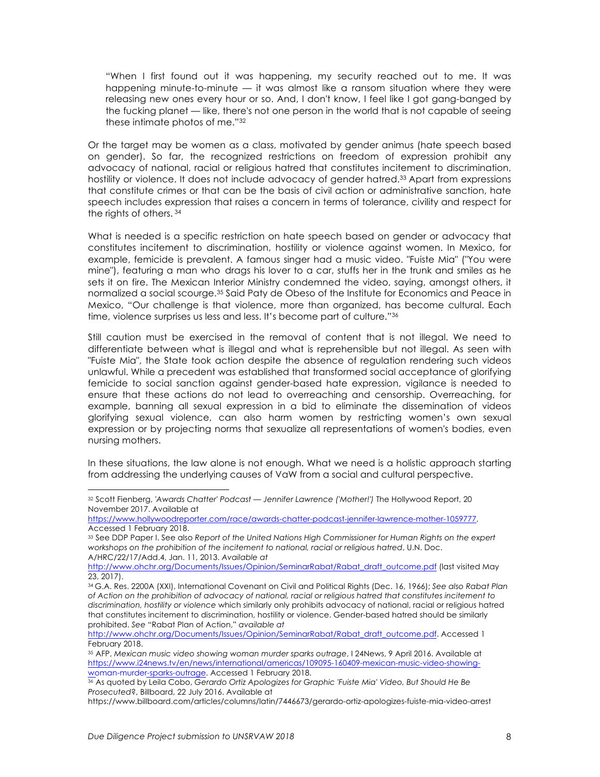"When I first found out it was happening, my security reached out to me. It was happening minute-to-minute — it was almost like a ransom situation where they were releasing new ones every hour or so. And, I don't know, I feel like I got gang-banged by the fucking planet — like, there's not one person in the world that is not capable of seeing these intimate photos of me."32

Or the target may be women as a class, motivated by gender animus (hate speech based on gender). So far, the recognized restrictions on freedom of expression prohibit any advocacy of national, racial or religious hatred that constitutes incitement to discrimination, hostility or violence. It does not include advocacy of gender hatred.33 Apart from expressions that constitute crimes or that can be the basis of civil action or administrative sanction, hate speech includes expression that raises a concern in terms of tolerance, civility and respect for the rights of others. <sup>34</sup>

What is needed is a specific restriction on hate speech based on gender or advocacy that constitutes incitement to discrimination, hostility or violence against women. In Mexico, for example, femicide is prevalent. A famous singer had a music video. "Fuiste Mia" ("You were mine"), featuring a man who drags his lover to a car, stuffs her in the trunk and smiles as he sets it on fire. The Mexican Interior Ministry condemned the video, saying, amongst others, it normalized a social scourge.35 Said Paty de Obeso of the Institute for Economics and Peace in Mexico, "Our challenge is that violence, more than organized, has become cultural. Each time, violence surprises us less and less. It's become part of culture."36

Still caution must be exercised in the removal of content that is not illegal. We need to differentiate between what is illegal and what is reprehensible but not illegal. As seen with "Fuiste Mia", the State took action despite the absence of regulation rendering such videos unlawful. While a precedent was established that transformed social acceptance of glorifying femicide to social sanction against gender-based hate expression, vigilance is needed to ensure that these actions do not lead to overreaching and censorship. Overreaching, for example, banning all sexual expression in a bid to eliminate the dissemination of videos glorifying sexual violence, can also harm women by restricting women's own sexual expression or by projecting norms that sexualize all representations of women's bodies, even nursing mothers.

In these situations, the law alone is not enough. What we need is a holistic approach starting from addressing the underlying causes of VaW from a social and cultural perspective.

<sup>32</sup> Scott Fienberg, *'Awards Chatter' Podcast — Jennifer Lawrence ('Mother!')* The Hollywood Report, 20 November 2017. Available at

https://www.hollywoodreporter.com/race/awards-chatter-podcast-jennifer-lawrence-mother-1059777. Accessed 1 February 2018.

<sup>33</sup> See DDP Paper I. See also *Report of the United Nations High Commissioner for Human Rights on the expert workshops on the prohibition of the incitement to national, racial or religious hatred*, U.N. Doc. A/HRC/22/17/Add.4, Jan. 11, 2013. *Available at*

http://www.ohchr.org/Documents/Issues/Opinion/SeminarRabat/Rabat\_draft\_outcome.pdf (last visited May 23, 2017).

<sup>34</sup> G.A. Res. 2200A (XXI), International Covenant on Civil and Political Rights (Dec. 16, 1966); *See also Rabat Plan of Action on the prohibition of advocacy of national, racial or religious hatred that constitutes incitement to discrimination, hostility or violence* which similarly only prohibits advocacy of national, racial or religious hatred that constitutes incitement to discrimination, hostility or violence. Gender-based hatred should be similarly prohibited. *See* "Rabat Plan of Action," *available at* 

http://www.ohchr.org/Documents/Issues/Opinion/SeminarRabat/Rabat\_draft\_outcome.pdf. Accessed 1 February 2018.

<sup>35</sup> AFP, *Mexican music video showing woman murder sparks outrage*, I 24News, 9 April 2016. Available at https://www.i24news.tv/en/news/international/americas/109095-160409-mexican-music-video-showingwoman-murder-sparks-outrage. Accessed 1 February 2018.

<sup>36</sup> As quoted by Leila Cobo, *Gerardo Ortiz Apologizes for Graphic 'Fuiste Mia' Video, But Should He Be Prosecuted*?, Billboard, 22 July 2016. Available at

https://www.billboard.com/articles/columns/latin/7446673/gerardo-ortiz-apologizes-fuiste-mia-video-arrest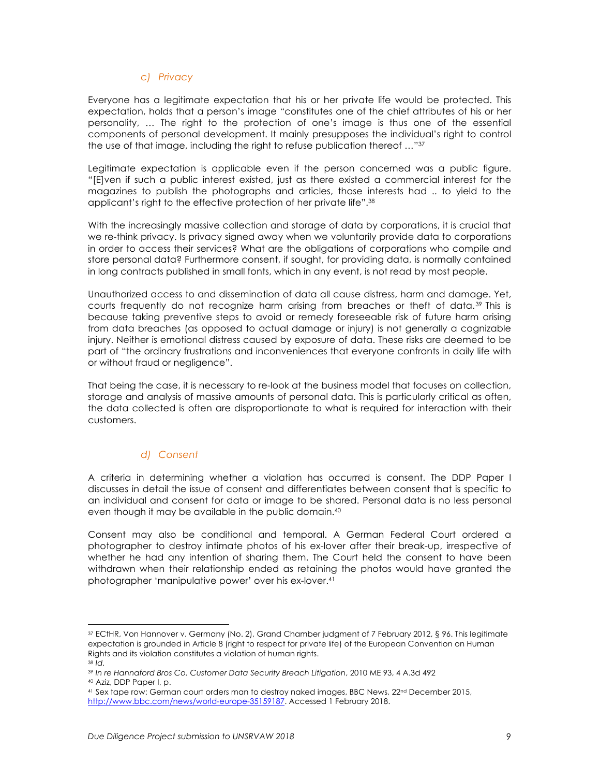#### *c) Privacy*

Everyone has a legitimate expectation that his or her private life would be protected. This expectation, holds that a person's image "constitutes one of the chief attributes of his or her personality, … The right to the protection of one's image is thus one of the essential components of personal development. It mainly presupposes the individual's right to control the use of that image, including the right to refuse publication thereof …"37

Legitimate expectation is applicable even if the person concerned was a public figure. "[E]ven if such a public interest existed, just as there existed a commercial interest for the magazines to publish the photographs and articles, those interests had .. to yield to the applicant's right to the effective protection of her private life".38

With the increasingly massive collection and storage of data by corporations, it is crucial that we re-think privacy. Is privacy signed away when we voluntarily provide data to corporations in order to access their services? What are the obligations of corporations who compile and store personal data? Furthermore consent, if sought, for providing data, is normally contained in long contracts published in small fonts, which in any event, is not read by most people.

Unauthorized access to and dissemination of data all cause distress, harm and damage. Yet, courts frequently do not recognize harm arising from breaches or theft of data.39 This is because taking preventive steps to avoid or remedy foreseeable risk of future harm arising from data breaches (as opposed to actual damage or injury) is not generally a cognizable injury. Neither is emotional distress caused by exposure of data. These risks are deemed to be part of "the ordinary frustrations and inconveniences that everyone confronts in daily life with or without fraud or negligence".

That being the case, it is necessary to re-look at the business model that focuses on collection, storage and analysis of massive amounts of personal data. This is particularly critical as often, the data collected is often are disproportionate to what is required for interaction with their customers.

#### *d) Consent*

A criteria in determining whether a violation has occurred is consent. The DDP Paper I discusses in detail the issue of consent and differentiates between consent that is specific to an individual and consent for data or image to be shared. Personal data is no less personal even though it may be available in the public domain.40

Consent may also be conditional and temporal. A German Federal Court ordered a photographer to destroy intimate photos of his ex-lover after their break-up, irrespective of whether he had any intention of sharing them. The Court held the consent to have been withdrawn when their relationship ended as retaining the photos would have granted the photographer 'manipulative power' over his ex-lover.41

<sup>37</sup> ECtHR, Von Hannover v. Germany (No. 2), Grand Chamber judgment of 7 February 2012, § 96. This legitimate expectation is grounded in Article 8 (right to respect for private life) of the European Convention on Human Rights and its violation constitutes a violation of human rights.

<sup>38</sup> *Id.*

<sup>&</sup>lt;sup>39</sup> In re Hannaford Bros Co. Customer Data Security Breach Litigation, 2010 ME 93, 4 A.3d 492<br><sup>40</sup> Aziz, DDP Paper I, p.

<sup>41</sup> Sex tape row: German court orders man to destroy naked images, BBC News, 22nd December 2015, http://www.bbc.com/news/world-europe-35159187. Accessed 1 February 2018.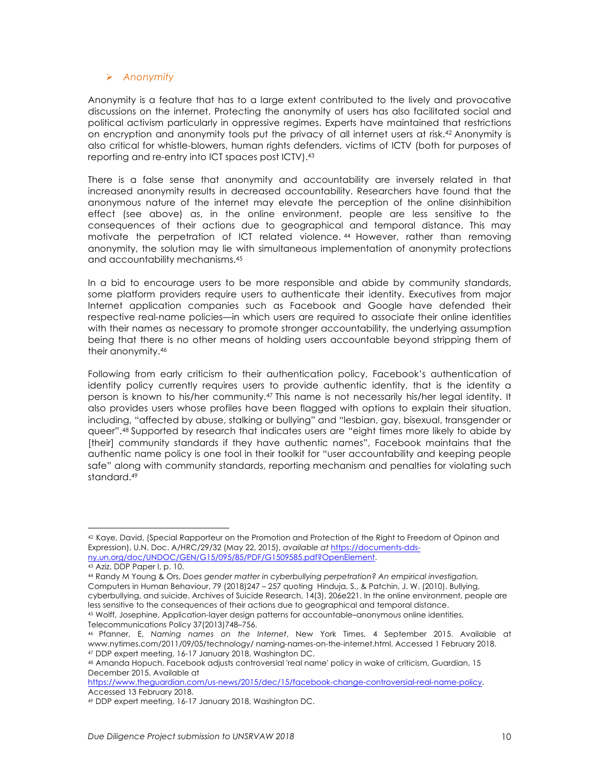#### Ø *Anonymity*

Anonymity is a feature that has to a large extent contributed to the lively and provocative discussions on the internet. Protecting the anonymity of users has also facilitated social and political activism particularly in oppressive regimes. Experts have maintained that restrictions on encryption and anonymity tools put the privacy of all internet users at risk.42 Anonymity is also critical for whistle-blowers, human rights defenders, victims of ICTV (both for purposes of reporting and re-entry into ICT spaces post ICTV).43

There is a false sense that anonymity and accountability are inversely related in that increased anonymity results in decreased accountability. Researchers have found that the anonymous nature of the internet may elevate the perception of the online disinhibition effect (see above) as, in the online environment, people are less sensitive to the consequences of their actions due to geographical and temporal distance. This may motivate the perpetration of ICT related violence. <sup>44</sup> However, rather than removing anonymity, the solution may lie with simultaneous implementation of anonymity protections and accountability mechanisms.45

In a bid to encourage users to be more responsible and abide by community standards, some platform providers require users to authenticate their identity. Executives from major Internet application companies such as Facebook and Google have defended their respective real-name policies—in which users are required to associate their online identities with their names as necessary to promote stronger accountability, the underlying assumption being that there is no other means of holding users accountable beyond stripping them of their anonymity.46

Following from early criticism to their authentication policy, Facebook's authentication of identity policy currently requires users to provide authentic identity, that is the identity a person is known to his/her community.47 This name is not necessarily his/her legal identity. It also provides users whose profiles have been flagged with options to explain their situation, including, "affected by abuse, stalking or bullying" and "lesbian, gay, bisexual, transgender or queer".48 Supported by research that indicates users are "eight times more likely to abide by [their] community standards if they have authentic names", Facebook maintains that the authentic name policy is one tool in their toolkit for "user accountability and keeping people safe" along with community standards, reporting mechanism and penalties for violating such standard.49

<sup>42</sup> Kaye, David, (Special Rapporteur on the Promotion and Protection of the Right to Freedom of Opinon and Expression), U.N. Doc. A/HRC/29/32 (May 22, 2015), *available at* https://documents-ddsny.un.org/doc/UNDOC/GEN/G15/095/85/PDF/G1509585.pdf?OpenElement.

<sup>43</sup> Aziz, DDP Paper I, p. 10.

<sup>44</sup> Randy M Young & Ors, *Does gender matter in cyberbullying perpetration? An empirical investigation,*  Computers in Human Behaviour, 79 (2018)247 – 257 quoting Hinduja, S., & Patchin, J. W. (2010). Bullying, cyberbullying, and suicide. Archives of Suicide Research, 14(3), 206e221. In the online environment, people are less sensitive to the consequences of their actions due to geographical and temporal distance.

<sup>45</sup> Wolff, Josephine, Application-layer design patterns for accountable–anonymous online identities, Telecommunications Policy 37(2013)748–756.

<sup>46</sup> Pfanner, E, *Naming names on the Internet*, New York Times, 4 September 2015. Available at www.nytimes.com/2011/09/05/technology/ naming-names-on-the-internet.html. Accessed 1 February 2018. <sup>47</sup> DDP expert meeting, 16-17 January 2018, Washington DC.

<sup>48</sup> Amanda Hopuch, Facebook adjusts controversial 'real name' policy in wake of criticism, Guardian, 15 December 2015. Available at

https://www.theguardian.com/us-news/2015/dec/15/facebook-change-controversial-real-name-policy. Accessed 13 February 2018.

<sup>49</sup> DDP expert meeting, 16-17 January 2018, Washington DC.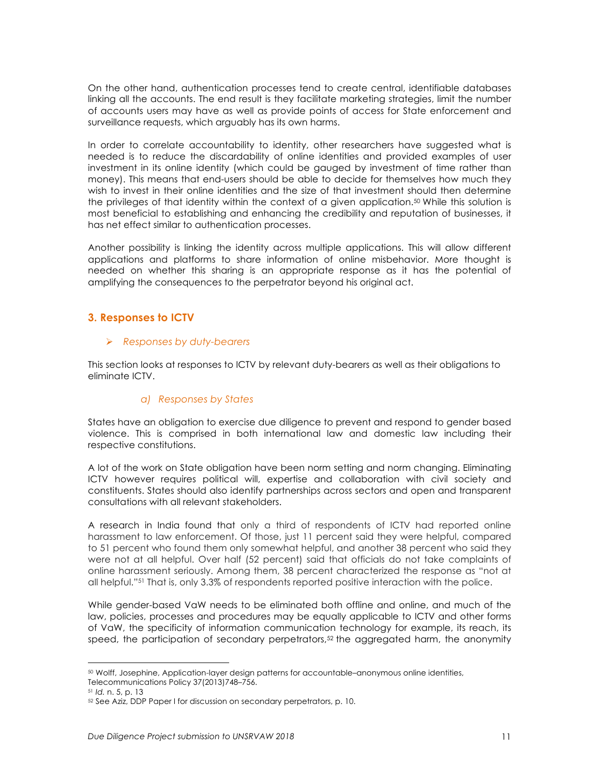On the other hand, authentication processes tend to create central, identifiable databases linking all the accounts. The end result is they facilitate marketing strategies, limit the number of accounts users may have as well as provide points of access for State enforcement and surveillance requests, which arguably has its own harms.

In order to correlate accountability to identity, other researchers have suggested what is needed is to reduce the discardability of online identities and provided examples of user investment in its online identity (which could be gauged by investment of time rather than money). This means that end-users should be able to decide for themselves how much they wish to invest in their online identities and the size of that investment should then determine the privileges of that identity within the context of a given application.50 While this solution is most beneficial to establishing and enhancing the credibility and reputation of businesses, it has net effect similar to authentication processes.

Another possibility is linking the identity across multiple applications. This will allow different applications and platforms to share information of online misbehavior. More thought is needed on whether this sharing is an appropriate response as it has the potential of amplifying the consequences to the perpetrator beyond his original act.

## **3. Responses to ICTV**

#### Ø *Responses by duty-bearers*

This section looks at responses to ICTV by relevant duty-bearers as well as their obligations to eliminate ICTV.

## *a) Responses by States*

States have an obligation to exercise due diligence to prevent and respond to gender based violence. This is comprised in both international law and domestic law including their respective constitutions.

A lot of the work on State obligation have been norm setting and norm changing. Eliminating ICTV however requires political will, expertise and collaboration with civil society and constituents. States should also identify partnerships across sectors and open and transparent consultations with all relevant stakeholders.

A research in India found that only a third of respondents of ICTV had reported online harassment to law enforcement. Of those, just 11 percent said they were helpful, compared to 51 percent who found them only somewhat helpful, and another 38 percent who said they were not at all helpful. Over half (52 percent) said that officials do not take complaints of online harassment seriously. Among them, 38 percent characterized the response as "not at all helpful."51 That is, only 3.3% of respondents reported positive interaction with the police.

While gender-based VaW needs to be eliminated both offline and online, and much of the law, policies, processes and procedures may be equally applicable to ICTV and other forms of VaW, the specificity of information communication technology for example, its reach, its speed, the participation of secondary perpetrators, $52$  the aggregated harm, the anonymity

<sup>50</sup> Wolff, Josephine, Application-layer design patterns for accountable–anonymous online identities, Telecommunications Policy 37(2013)748–756.

<sup>51</sup> *Id.* n. 5, p. 13

<sup>52</sup> See Aziz, DDP Paper I for discussion on secondary perpetrators, p. 10.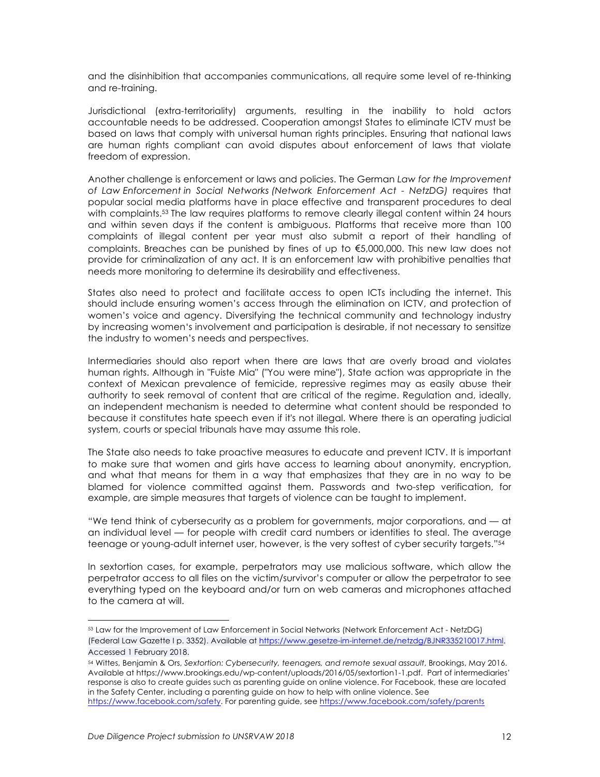and the disinhibition that accompanies communications, all require some level of re-thinking and re-training.

Jurisdictional (extra-territoriality) arguments, resulting in the inability to hold actors accountable needs to be addressed. Cooperation amongst States to eliminate ICTV must be based on laws that comply with universal human rights principles. Ensuring that national laws are human rights compliant can avoid disputes about enforcement of laws that violate freedom of expression.

Another challenge is enforcement or laws and policies. The German *Law for the Improvement of Law Enforcement in Social Networks (Network Enforcement Act - NetzDG)* requires that popular social media platforms have in place effective and transparent procedures to deal with complaints.53 The law requires platforms to remove clearly illegal content within 24 hours and within seven days if the content is ambiguous. Platforms that receive more than 100 complaints of illegal content per year must also submit a report of their handling of complaints. Breaches can be punished by fines of up to €5,000,000. This new law does not provide for criminalization of any act. It is an enforcement law with prohibitive penalties that needs more monitoring to determine its desirability and effectiveness.

States also need to protect and facilitate access to open ICTs including the internet. This should include ensuring women's access through the elimination on ICTV, and protection of women's voice and agency. Diversifying the technical community and technology industry by increasing women's involvement and participation is desirable, if not necessary to sensitize the industry to women's needs and perspectives.

Intermediaries should also report when there are laws that are overly broad and violates human rights. Although in "Fuiste Mia" ("You were mine"), State action was appropriate in the context of Mexican prevalence of femicide, repressive regimes may as easily abuse their authority to seek removal of content that are critical of the regime. Regulation and, ideally, an independent mechanism is needed to determine what content should be responded to because it constitutes hate speech even if it's not illegal. Where there is an operating judicial system, courts or special tribunals have may assume this role.

The State also needs to take proactive measures to educate and prevent ICTV. It is important to make sure that women and girls have access to learning about anonymity, encryption, and what that means for them in a way that emphasizes that they are in no way to be blamed for violence committed against them. Passwords and two-step verification, for example, are simple measures that targets of violence can be taught to implement.

"We tend think of cybersecurity as a problem for governments, major corporations, and — at an individual level — for people with credit card numbers or identities to steal. The average teenage or young-adult internet user, however, is the very softest of cyber security targets."54

In sextortion cases, for example, perpetrators may use malicious software, which allow the perpetrator access to all files on the victim/survivor's computer or allow the perpetrator to see everything typed on the keyboard and/or turn on web cameras and microphones attached to the camera at will.

<u> 1989 - Johann Stein, marwolaethau a bh</u>

<sup>53</sup> Law for the Improvement of Law Enforcement in Social Networks (Network Enforcement Act - NetzDG) (Federal Law Gazette I p. 3352). Available at https://www.gesetze-im-internet.de/netzdg/BJNR335210017.html. Accessed 1 February 2018.

<sup>54</sup> Wittes, Benjamin & Ors, *Sextortion: Cybersecurity, teenagers, and remote sexual assault*, Brookings, May 2016. Available at https://www.brookings.edu/wp-content/uploads/2016/05/sextortion1-1.pdf. Part of intermediaries' response is also to create guides such as parenting guide on online violence. For Facebook, these are located in the Safety Center, including a parenting guide on how to help with online violence. See https://www.facebook.com/safety. For parenting guide, see https://www.facebook.com/safety/parents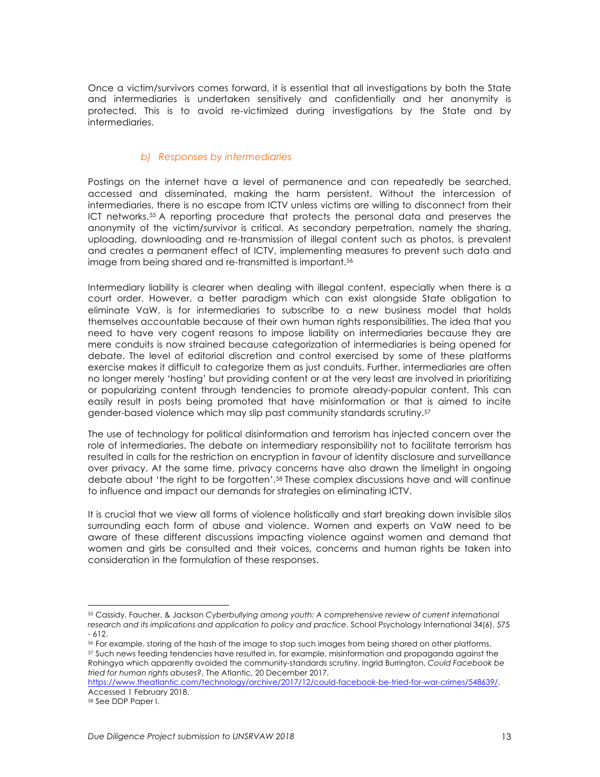Once a victim/survivors comes forward, it is essential that all investigations by both the State and intermediaries is undertaken sensitively and confidentially and her anonymity is protected. This is to avoid re-victimized during investigations by the State and by intermediaries.

## *b) Responses by intermediaries*

Postings on the internet have a level of permanence and can repeatedly be searched, accessed and disseminated, making the harm persistent. Without the intercession of intermediaries, there is no escape from ICTV unless victims are willing to disconnect from their ICT networks.55 A reporting procedure that protects the personal data and preserves the anonymity of the victim/survivor is critical. As secondary perpetration, namely the sharing, uploading, downloading and re-transmission of illegal content such as photos, is prevalent and creates a permanent effect of ICTV, implementing measures to prevent such data and image from being shared and re-transmitted is important.56

Intermediary liability is clearer when dealing with illegal content, especially when there is a court order. However, a better paradigm which can exist alongside State obligation to eliminate VaW, is for intermediaries to subscribe to a new business model that holds themselves accountable because of their own human rights responsibilities. The idea that you need to have very cogent reasons to impose liability on intermediaries because they are mere conduits is now strained because categorization of intermediaries is being opened for debate. The level of editorial discretion and control exercised by some of these platforms exercise makes it difficult to categorize them as just conduits. Further, intermediaries are often no longer merely 'hosting' but providing content or at the very least are involved in prioritizing or popularizing content through tendencies to promote already-popular content. This can easily result in posts being promoted that have misinformation or that is aimed to incite gender-based violence which may slip past community standards scrutiny.57

The use of technology for political disinformation and terrorism has injected concern over the role of intermediaries. The debate on intermediary responsibility not to facilitate terrorism has resulted in calls for the restriction on encryption in favour of identity disclosure and surveillance over privacy. At the same time, privacy concerns have also drawn the limelight in ongoing debate about 'the right to be forgotten'.58 These complex discussions have and will continue to influence and impact our demands for strategies on eliminating ICTV.

It is crucial that we view all forms of violence holistically and start breaking down invisible silos surrounding each form of abuse and violence. Women and experts on VaW need to be aware of these different discussions impacting violence against women and demand that women and girls be consulted and their voices, concerns and human rights be taken into consideration in the formulation of these responses.

<sup>55</sup> Cassidy, Faucher, & Jackson *Cyberbullying among youth: A comprehensive review of current international research and its implications and application to policy and practice*. School Psychology International 34(6), 575 - 612.

<sup>56</sup> For example, storing of the hash of the image to stop such images from being shared on other platforms. <sup>57</sup> Such news feeding tendencies have resulted in, for example, misinformation and propaganda against the Rohingya which apparently avoided the community-standards scrutiny. Ingrid Burrington, *Could Facebook be tried for human rights abuses?*, The Atlantic, 20 December 2017,

https://www.theatlantic.com/technology/archive/2017/12/could-facebook-be-tried-for-war-crimes/548639/. Accessed 1 February 2018.

<sup>58</sup> See DDP Paper I.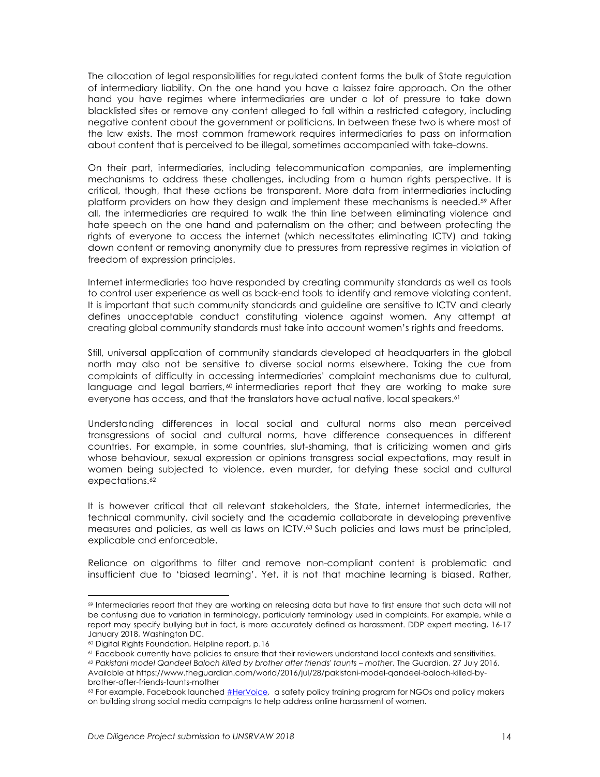The allocation of legal responsibilities for regulated content forms the bulk of State regulation of intermediary liability. On the one hand you have a laissez faire approach. On the other hand you have regimes where intermediaries are under a lot of pressure to take down blacklisted sites or remove any content alleged to fall within a restricted category, including negative content about the government or politicians. In between these two is where most of the law exists. The most common framework requires intermediaries to pass on information about content that is perceived to be illegal, sometimes accompanied with take-downs.

On their part, intermediaries, including telecommunication companies, are implementing mechanisms to address these challenges, including from a human rights perspective. It is critical, though, that these actions be transparent. More data from intermediaries including platform providers on how they design and implement these mechanisms is needed.59 After all, the intermediaries are required to walk the thin line between eliminating violence and hate speech on the one hand and paternalism on the other; and between protecting the rights of everyone to access the internet (which necessitates eliminating ICTV) and taking down content or removing anonymity due to pressures from repressive regimes in violation of freedom of expression principles.

Internet intermediaries too have responded by creating community standards as well as tools to control user experience as well as back-end tools to identify and remove violating content. It is important that such community standards and guideline are sensitive to ICTV and clearly defines unacceptable conduct constituting violence against women. Any attempt at creating global community standards must take into account women's rights and freedoms.

Still, universal application of community standards developed at headquarters in the global north may also not be sensitive to diverse social norms elsewhere. Taking the cue from complaints of difficulty in accessing intermediaries' complaint mechanisms due to cultural, language and legal barriers, $60$  intermediaries report that they are working to make sure everyone has access, and that the translators have actual native, local speakers.<sup>61</sup>

Understanding differences in local social and cultural norms also mean perceived transgressions of social and cultural norms, have difference consequences in different countries. For example, in some countries, slut-shaming, that is criticizing women and girls whose behaviour, sexual expression or opinions transgress social expectations, may result in women being subjected to violence, even murder, for defying these social and cultural expectations.<sup>62</sup>

It is however critical that all relevant stakeholders, the State, internet intermediaries, the technical community, civil society and the academia collaborate in developing preventive measures and policies, as well as laws on ICTV.63 Such policies and laws must be principled, explicable and enforceable.

Reliance on algorithms to filter and remove non-compliant content is problematic and insufficient due to 'biased learning'. Yet, it is not that machine learning is biased. Rather,

<sup>59</sup> Intermediaries report that they are working on releasing data but have to first ensure that such data will not be confusing due to variation in terminology, particularly terminology used in complaints. For example, while a report may specify bullying but in fact, is more accurately defined as harassment. DDP expert meeting, 16-17 January 2018, Washington DC.

<sup>60</sup> Digital Rights Foundation, Helpline report, p.16

<sup>61</sup> Facebook currently have policies to ensure that their reviewers understand local contexts and sensitivities.

<sup>62</sup> *Pakistani model Qandeel Baloch killed by brother after friends' taunts – mother*, The Guardian, 27 July 2016. Available at https://www.theguardian.com/world/2016/jul/28/pakistani-model-qandeel-baloch-killed-bybrother-after-friends-taunts-mother

<sup>&</sup>lt;sup>63</sup> For example, Facebook launched #HerVoice, a safety policy training program for NGOs and policy makers on building strong social media campaigns to help address online harassment of women.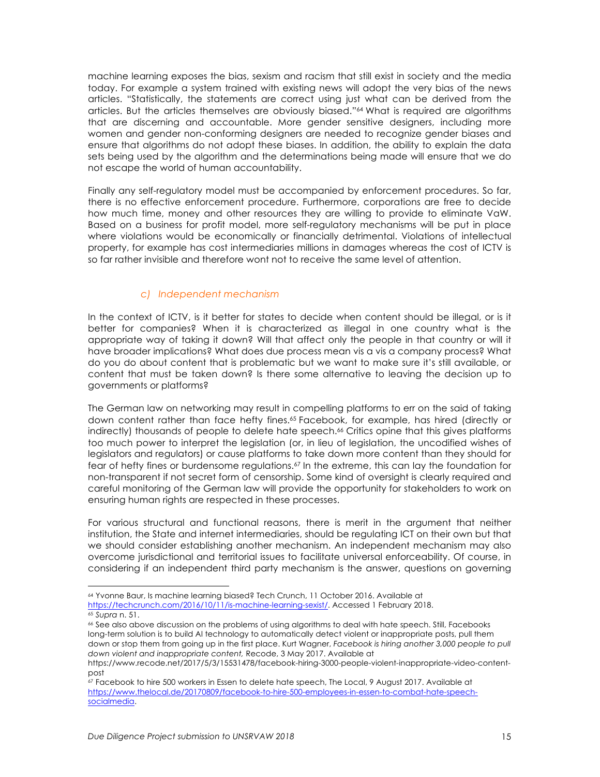machine learning exposes the bias, sexism and racism that still exist in society and the media today. For example a system trained with existing news will adopt the very bias of the news articles. "Statistically, the statements are correct using just what can be derived from the articles. But the articles themselves are obviously biased."64 What is required are algorithms that are discerning and accountable. More gender sensitive designers, including more women and gender non-conforming designers are needed to recognize gender biases and ensure that algorithms do not adopt these biases. In addition, the ability to explain the data sets being used by the algorithm and the determinations being made will ensure that we do not escape the world of human accountability.

Finally any self-regulatory model must be accompanied by enforcement procedures. So far, there is no effective enforcement procedure. Furthermore, corporations are free to decide how much time, money and other resources they are willing to provide to eliminate VaW. Based on a business for profit model, more self-regulatory mechanisms will be put in place where violations would be economically or financially detrimental. Violations of intellectual property, for example has cost intermediaries millions in damages whereas the cost of ICTV is so far rather invisible and therefore wont not to receive the same level of attention.

#### *c) Independent mechanism*

In the context of ICTV, is it better for states to decide when content should be illegal, or is it better for companies? When it is characterized as illegal in one country what is the appropriate way of taking it down? Will that affect only the people in that country or will it have broader implications? What does due process mean vis a vis a company process? What do you do about content that is problematic but we want to make sure it's still available, or content that must be taken down? Is there some alternative to leaving the decision up to governments or platforms?

The German law on networking may result in compelling platforms to err on the said of taking down content rather than face hefty fines.65 Facebook, for example, has hired (directly or indirectly) thousands of people to delete hate speech.<sup>66</sup> Critics opine that this gives platforms too much power to interpret the legislation (or, in lieu of legislation, the uncodified wishes of legislators and regulators) or cause platforms to take down more content than they should for fear of hefty fines or burdensome regulations.<sup>67</sup> In the extreme, this can lay the foundation for non-transparent if not secret form of censorship. Some kind of oversight is clearly required and careful monitoring of the German law will provide the opportunity for stakeholders to work on ensuring human rights are respected in these processes.

For various structural and functional reasons, there is merit in the argument that neither institution, the State and internet intermediaries, should be regulating ICT on their own but that we should consider establishing another mechanism. An independent mechanism may also overcome jurisdictional and territorial issues to facilitate universal enforceability. Of course, in considering if an independent third party mechanism is the answer, questions on governing

 <sup>64</sup> Yvonne Baur, Is machine learning biased? Tech Crunch, 11 October 2016. Available at https://techcrunch.com/2016/10/11/is-machine-learning-sexist/. Accessed 1 February 2018. <sup>65</sup> *Supra* n. 51.

<sup>66</sup> See also above discussion on the problems of using algorithms to deal with hate speech. Still, Facebooks long-term solution is to build AI technology to automatically detect violent or inappropriate posts, pull them down or stop them from going up in the first place. Kurt Wagner, *Facebook is hiring another 3,000 people to pull down violent and inappropriate content,* Recode, 3 May 2017. Available at

https://www.recode.net/2017/5/3/15531478/facebook-hiring-3000-people-violent-inappropriate-video-contentpost

<sup>67</sup> Facebook to hire 500 workers in Essen to delete hate speech, The Local, 9 August 2017. Available at https://www.thelocal.de/20170809/facebook-to-hire-500-employees-in-essen-to-combat-hate-speechsocialmedia.